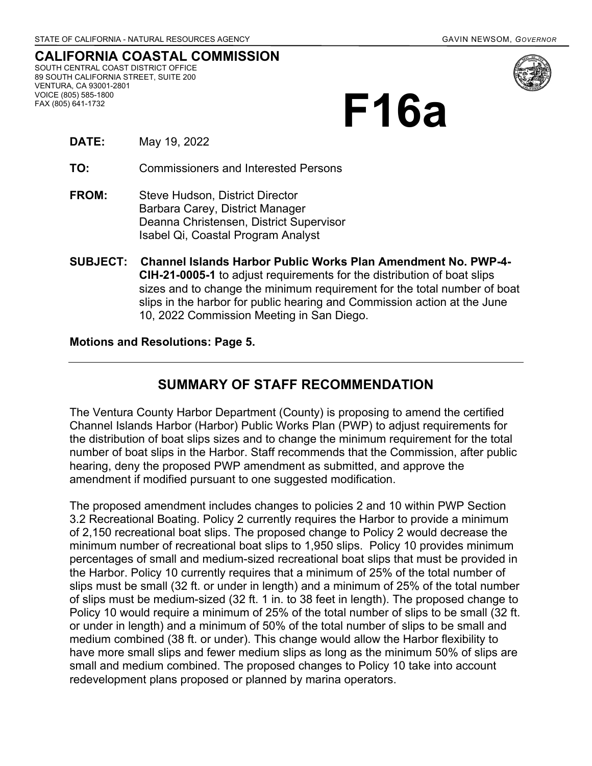## **CALIFORNIA COASTAL COMMISSION** SOUTH CENTRAL COAST DISTRICT OFFICE

89 SOUTH CALIFORNIA STREET, SUITE 200 VENTURA, CA 93001-2801 VOICE (805) 585-1800 FAX (805) 641-1732



# **F16a**

**DATE:** May 19, 2022

**TO:** Commissioners and Interested Persons

- **FROM:** Steve Hudson, District Director Barbara Carey, District Manager Deanna Christensen, District Supervisor Isabel Qi, Coastal Program Analyst
- **SUBJECT: Channel Islands Harbor Public Works Plan Amendment No. PWP-4- CIH-21-0005-1** to adjust requirements for the distribution of boat slips sizes and to change the minimum requirement for the total number of boat slips in the harbor for public hearing and Commission action at the June 10, 2022 Commission Meeting in San Diego.

#### **Motions and Resolutions: Page 5.**

## **SUMMARY OF STAFF RECOMMENDATION**

The Ventura County Harbor Department (County) is proposing to amend the certified Channel Islands Harbor (Harbor) Public Works Plan (PWP) to adjust requirements for the distribution of boat slips sizes and to change the minimum requirement for the total number of boat slips in the Harbor. Staff recommends that the Commission, after public hearing, deny the proposed PWP amendment as submitted, and approve the amendment if modified pursuant to one suggested modification.

The proposed amendment includes changes to policies 2 and 10 within PWP Section 3.2 Recreational Boating. Policy 2 currently requires the Harbor to provide a minimum of 2,150 recreational boat slips. The proposed change to Policy 2 would decrease the minimum number of recreational boat slips to 1,950 slips. Policy 10 provides minimum percentages of small and medium-sized recreational boat slips that must be provided in the Harbor. Policy 10 currently requires that a minimum of 25% of the total number of slips must be small (32 ft. or under in length) and a minimum of 25% of the total number of slips must be medium-sized (32 ft. 1 in. to 38 feet in length). The proposed change to Policy 10 would require a minimum of 25% of the total number of slips to be small (32 ft. or under in length) and a minimum of 50% of the total number of slips to be small and medium combined (38 ft. or under). This change would allow the Harbor flexibility to have more small slips and fewer medium slips as long as the minimum 50% of slips are small and medium combined. The proposed changes to Policy 10 take into account redevelopment plans proposed or planned by marina operators.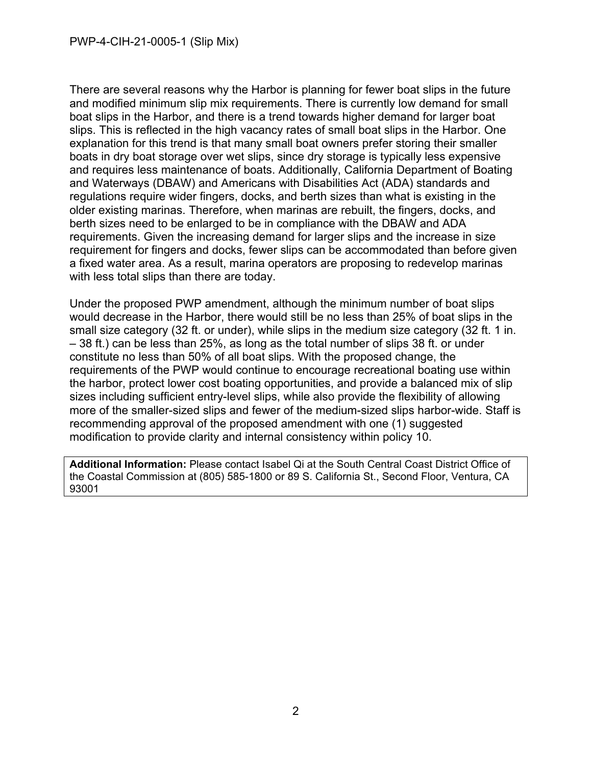There are several reasons why the Harbor is planning for fewer boat slips in the future and modified minimum slip mix requirements. There is currently low demand for small boat slips in the Harbor, and there is a trend towards higher demand for larger boat slips. This is reflected in the high vacancy rates of small boat slips in the Harbor. One explanation for this trend is that many small boat owners prefer storing their smaller boats in dry boat storage over wet slips, since dry storage is typically less expensive and requires less maintenance of boats. Additionally, California Department of Boating and Waterways (DBAW) and Americans with Disabilities Act (ADA) standards and regulations require wider fingers, docks, and berth sizes than what is existing in the older existing marinas. Therefore, when marinas are rebuilt, the fingers, docks, and berth sizes need to be enlarged to be in compliance with the DBAW and ADA requirements. Given the increasing demand for larger slips and the increase in size requirement for fingers and docks, fewer slips can be accommodated than before given a fixed water area. As a result, marina operators are proposing to redevelop marinas with less total slips than there are today.

Under the proposed PWP amendment, although the minimum number of boat slips would decrease in the Harbor, there would still be no less than 25% of boat slips in the small size category (32 ft. or under), while slips in the medium size category (32 ft. 1 in. – 38 ft.) can be less than 25%, as long as the total number of slips 38 ft. or under constitute no less than 50% of all boat slips. With the proposed change, the requirements of the PWP would continue to encourage recreational boating use within the harbor, protect lower cost boating opportunities, and provide a balanced mix of slip sizes including sufficient entry-level slips, while also provide the flexibility of allowing more of the smaller-sized slips and fewer of the medium-sized slips harbor-wide. Staff is recommending approval of the proposed amendment with one (1) suggested modification to provide clarity and internal consistency within policy 10.

**Additional Information:** Please contact Isabel Qi at the South Central Coast District Office of the Coastal Commission at (805) 585-1800 or 89 S. California St., Second Floor, Ventura, CA 93001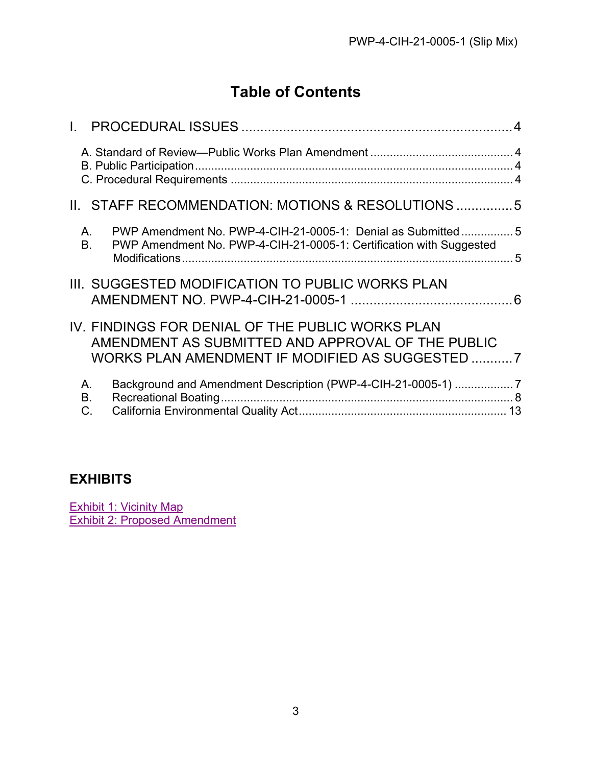# **Table of Contents**

| Ш.              | STAFF RECOMMENDATION: MOTIONS & RESOLUTIONS 5                                                                                                            |  |
|-----------------|----------------------------------------------------------------------------------------------------------------------------------------------------------|--|
| А.<br><b>B.</b> | PWP Amendment No. PWP-4-CIH-21-0005-1: Denial as Submitted5<br>PWP Amendment No. PWP-4-CIH-21-0005-1: Certification with Suggested                       |  |
|                 | III. SUGGESTED MODIFICATION TO PUBLIC WORKS PLAN                                                                                                         |  |
|                 | IV. FINDINGS FOR DENIAL OF THE PUBLIC WORKS PLAN<br>AMENDMENT AS SUBMITTED AND APPROVAL OF THE PUBLIC<br>WORKS PLAN AMENDMENT IF MODIFIED AS SUGGESTED 7 |  |
| А.<br>В.<br>C.  | Background and Amendment Description (PWP-4-CIH-21-0005-1) 7                                                                                             |  |

## **EXHIBITS**

[Exhibit 1: Vicinity Map](https://documents.coastal.ca.gov/reports/2022/6/F16a/F16a-6-2022-exhibits.pdf) [Exhibit 2: Proposed Amendment](https://documents.coastal.ca.gov/reports/2022/6/F16a/F16a-6-2022-exhibits.pdf)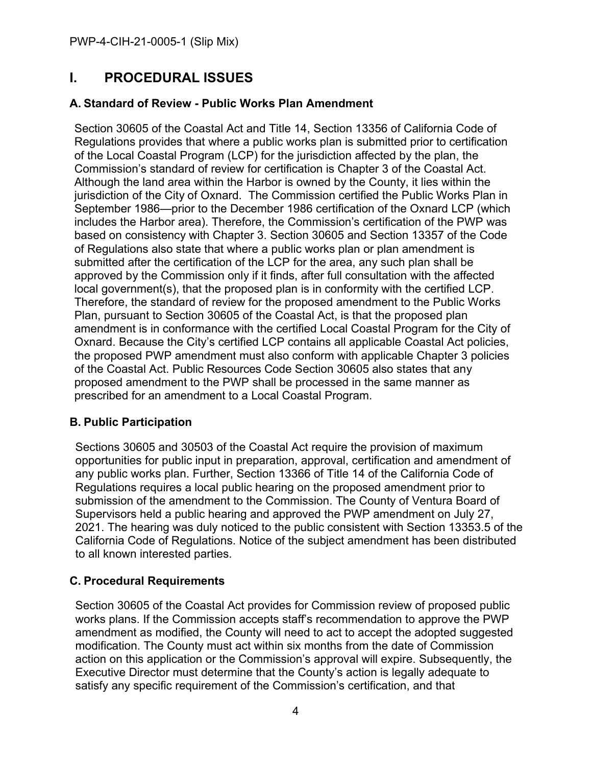## <span id="page-3-0"></span>**I. PROCEDURAL ISSUES**

#### <span id="page-3-1"></span>**A. Standard of Review - Public Works Plan Amendment**

Section 30605 of the Coastal Act and Title 14, Section 13356 of California Code of Regulations provides that where a public works plan is submitted prior to certification of the Local Coastal Program (LCP) for the jurisdiction affected by the plan, the Commission's standard of review for certification is Chapter 3 of the Coastal Act. Although the land area within the Harbor is owned by the County, it lies within the jurisdiction of the City of Oxnard. The Commission certified the Public Works Plan in September 1986—prior to the December 1986 certification of the Oxnard LCP (which includes the Harbor area). Therefore, the Commission's certification of the PWP was based on consistency with Chapter 3. Section 30605 and Section 13357 of the Code of Regulations also state that where a public works plan or plan amendment is submitted after the certification of the LCP for the area, any such plan shall be approved by the Commission only if it finds, after full consultation with the affected local government(s), that the proposed plan is in conformity with the certified LCP. Therefore, the standard of review for the proposed amendment to the Public Works Plan, pursuant to Section 30605 of the Coastal Act, is that the proposed plan amendment is in conformance with the certified Local Coastal Program for the City of Oxnard. Because the City's certified LCP contains all applicable Coastal Act policies, the proposed PWP amendment must also conform with applicable Chapter 3 policies of the Coastal Act. Public Resources Code Section 30605 also states that any proposed amendment to the PWP shall be processed in the same manner as prescribed for an amendment to a Local Coastal Program.

#### <span id="page-3-2"></span>**B. Public Participation**

Sections 30605 and 30503 of the Coastal Act require the provision of maximum opportunities for public input in preparation, approval, certification and amendment of any public works plan. Further, Section 13366 of Title 14 of the California Code of Regulations requires a local public hearing on the proposed amendment prior to submission of the amendment to the Commission. The County of Ventura Board of Supervisors held a public hearing and approved the PWP amendment on July 27, 2021. The hearing was duly noticed to the public consistent with Section 13353.5 of the California Code of Regulations. Notice of the subject amendment has been distributed to all known interested parties.

#### <span id="page-3-3"></span>**C. Procedural Requirements**

Section 30605 of the Coastal Act provides for Commission review of proposed public works plans. If the Commission accepts staff's recommendation to approve the PWP amendment as modified, the County will need to act to accept the adopted suggested modification. The County must act within six months from the date of Commission action on this application or the Commission's approval will expire. Subsequently, the Executive Director must determine that the County's action is legally adequate to satisfy any specific requirement of the Commission's certification, and that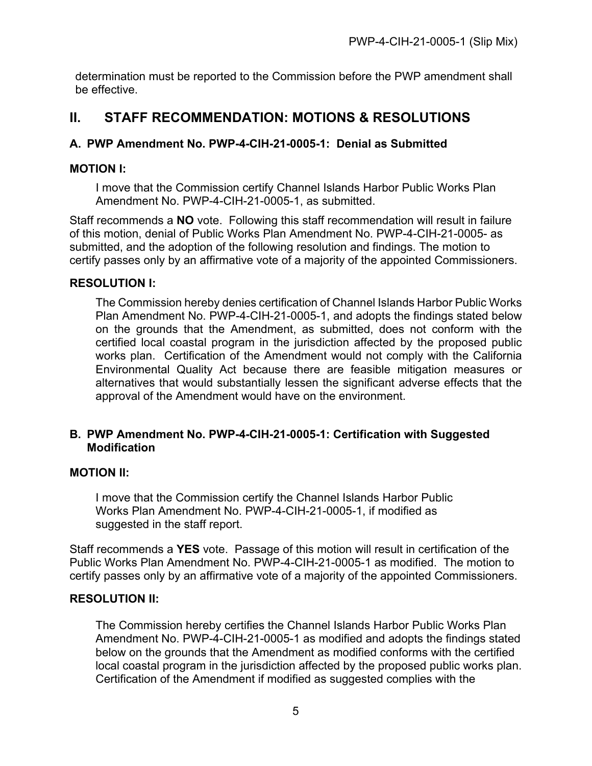determination must be reported to the Commission before the PWP amendment shall be effective.

## <span id="page-4-0"></span>**II. STAFF RECOMMENDATION: MOTIONS & RESOLUTIONS**

#### <span id="page-4-1"></span>**A. PWP Amendment No. PWP-4-CIH-21-0005-1: Denial as Submitted**

#### **MOTION I:**

I move that the Commission certify Channel Islands Harbor Public Works Plan Amendment No. PWP-4-CIH-21-0005-1, as submitted.

Staff recommends a **NO** vote. Following this staff recommendation will result in failure of this motion, denial of Public Works Plan Amendment No. PWP-4-CIH-21-0005- as submitted, and the adoption of the following resolution and findings. The motion to certify passes only by an affirmative vote of a majority of the appointed Commissioners.

#### **RESOLUTION I:**

The Commission hereby denies certification of Channel Islands Harbor Public Works Plan Amendment No. PWP-4-CIH-21-0005-1, and adopts the findings stated below on the grounds that the Amendment, as submitted, does not conform with the certified local coastal program in the jurisdiction affected by the proposed public works plan. Certification of the Amendment would not comply with the California Environmental Quality Act because there are feasible mitigation measures or alternatives that would substantially lessen the significant adverse effects that the approval of the Amendment would have on the environment.

#### <span id="page-4-2"></span>**B. PWP Amendment No. PWP-4-CIH-21-0005-1: Certification with Suggested Modification**

#### **MOTION II:**

I move that the Commission certify the Channel Islands Harbor Public Works Plan Amendment No. PWP-4-CIH-21-0005-1, if modified as suggested in the staff report.

Staff recommends a **YES** vote. Passage of this motion will result in certification of the Public Works Plan Amendment No. PWP-4-CIH-21-0005-1 as modified. The motion to certify passes only by an affirmative vote of a majority of the appointed Commissioners.

#### **RESOLUTION II:**

The Commission hereby certifies the Channel Islands Harbor Public Works Plan Amendment No. PWP-4-CIH-21-0005-1 as modified and adopts the findings stated below on the grounds that the Amendment as modified conforms with the certified local coastal program in the jurisdiction affected by the proposed public works plan. Certification of the Amendment if modified as suggested complies with the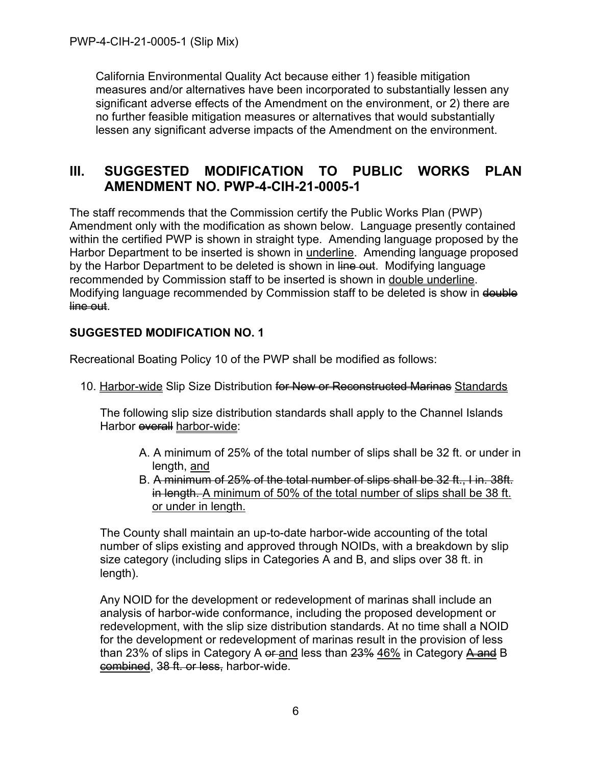California Environmental Quality Act because either 1) feasible mitigation measures and/or alternatives have been incorporated to substantially lessen any significant adverse effects of the Amendment on the environment, or 2) there are no further feasible mitigation measures or alternatives that would substantially lessen any significant adverse impacts of the Amendment on the environment.

## <span id="page-5-0"></span>**III. SUGGESTED MODIFICATION TO PUBLIC WORKS PLAN AMENDMENT NO. PWP-4-CIH-21-0005-1**

The staff recommends that the Commission certify the Public Works Plan (PWP) Amendment only with the modification as shown below. Language presently contained within the certified PWP is shown in straight type. Amending language proposed by the Harbor Department to be inserted is shown in underline. Amending language proposed by the Harbor Department to be deleted is shown in line out. Modifying language recommended by Commission staff to be inserted is shown in double underline. Modifying language recommended by Commission staff to be deleted is show in double line out.

#### **SUGGESTED MODIFICATION NO. 1**

Recreational Boating Policy 10 of the PWP shall be modified as follows:

10. Harbor-wide Slip Size Distribution for New or Reconstructed Marinas Standards

The following slip size distribution standards shall apply to the Channel Islands Harbor **everall** harbor-wide:

- A. A minimum of 25% of the total number of slips shall be 32 ft. or under in length, and
- B. A minimum of 25% of the total number of slips shall be 32 ft., I in. 38ft. in length. A minimum of 50% of the total number of slips shall be 38 ft. or under in length.

The County shall maintain an up-to-date harbor-wide accounting of the total number of slips existing and approved through NOIDs, with a breakdown by slip size category (including slips in Categories A and B, and slips over 38 ft. in length).

Any NOID for the development or redevelopment of marinas shall include an analysis of harbor-wide conformance, including the proposed development or redevelopment, with the slip size distribution standards. At no time shall a NOID for the development or redevelopment of marinas result in the provision of less than 23% of slips in Category A er-and less than 23% 46% in Category A and B combined, 38 ft. or less, harbor-wide.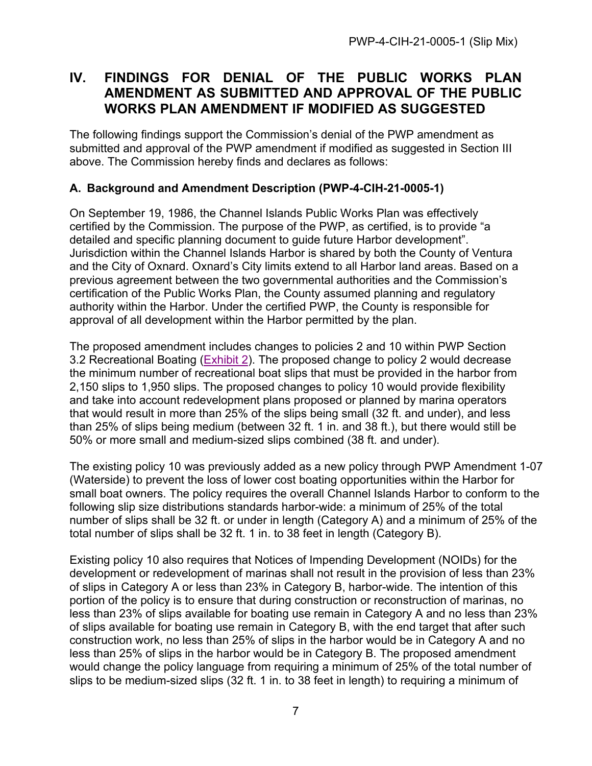## <span id="page-6-0"></span>**IV. FINDINGS FOR DENIAL OF THE PUBLIC WORKS PLAN AMENDMENT AS SUBMITTED AND APPROVAL OF THE PUBLIC WORKS PLAN AMENDMENT IF MODIFIED AS SUGGESTED**

The following findings support the Commission's denial of the PWP amendment as submitted and approval of the PWP amendment if modified as suggested in Section III above. The Commission hereby finds and declares as follows:

#### <span id="page-6-1"></span>**A. Background and Amendment Description (PWP-4-CIH-21-0005-1)**

On September 19, 1986, the Channel Islands Public Works Plan was effectively certified by the Commission. The purpose of the PWP, as certified, is to provide "a detailed and specific planning document to guide future Harbor development". Jurisdiction within the Channel Islands Harbor is shared by both the County of Ventura and the City of Oxnard. Oxnard's City limits extend to all Harbor land areas. Based on a previous agreement between the two governmental authorities and the Commission's certification of the Public Works Plan, the County assumed planning and regulatory authority within the Harbor. Under the certified PWP, the County is responsible for approval of all development within the Harbor permitted by the plan.

The proposed amendment includes changes to policies 2 and 10 within PWP Section 3.2 Recreational Boating [\(Exhibit 2\)](https://documents.coastal.ca.gov/reports/2022/6/F16a/F16a-6-2022-exhibits.pdf). The proposed change to policy 2 would decrease the minimum number of recreational boat slips that must be provided in the harbor from 2,150 slips to 1,950 slips. The proposed changes to policy 10 would provide flexibility and take into account redevelopment plans proposed or planned by marina operators that would result in more than 25% of the slips being small (32 ft. and under), and less than 25% of slips being medium (between 32 ft. 1 in. and 38 ft.), but there would still be 50% or more small and medium-sized slips combined (38 ft. and under).

The existing policy 10 was previously added as a new policy through PWP Amendment 1-07 (Waterside) to prevent the loss of lower cost boating opportunities within the Harbor for small boat owners. The policy requires the overall Channel Islands Harbor to conform to the following slip size distributions standards harbor-wide: a minimum of 25% of the total number of slips shall be 32 ft. or under in length (Category A) and a minimum of 25% of the total number of slips shall be 32 ft. 1 in. to 38 feet in length (Category B).

Existing policy 10 also requires that Notices of Impending Development (NOIDs) for the development or redevelopment of marinas shall not result in the provision of less than 23% of slips in Category A or less than 23% in Category B, harbor-wide. The intention of this portion of the policy is to ensure that during construction or reconstruction of marinas, no less than 23% of slips available for boating use remain in Category A and no less than 23% of slips available for boating use remain in Category B, with the end target that after such construction work, no less than 25% of slips in the harbor would be in Category A and no less than 25% of slips in the harbor would be in Category B. The proposed amendment would change the policy language from requiring a minimum of 25% of the total number of slips to be medium-sized slips (32 ft. 1 in. to 38 feet in length) to requiring a minimum of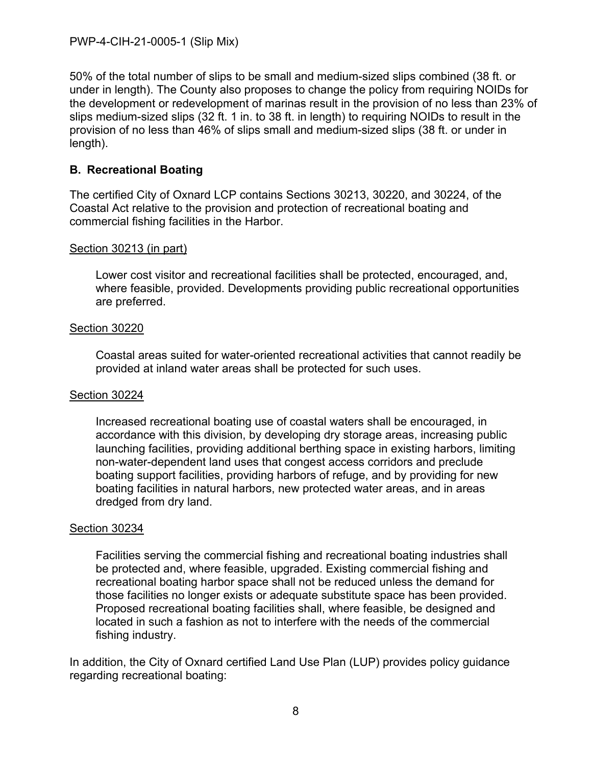50% of the total number of slips to be small and medium-sized slips combined (38 ft. or under in length). The County also proposes to change the policy from requiring NOIDs for the development or redevelopment of marinas result in the provision of no less than 23% of slips medium-sized slips (32 ft. 1 in. to 38 ft. in length) to requiring NOIDs to result in the provision of no less than 46% of slips small and medium-sized slips (38 ft. or under in length).

#### <span id="page-7-0"></span>**B. Recreational Boating**

The certified City of Oxnard LCP contains Sections 30213, 30220, and 30224, of the Coastal Act relative to the provision and protection of recreational boating and commercial fishing facilities in the Harbor.

#### Section 30213 (in part)

Lower cost visitor and recreational facilities shall be protected, encouraged, and, where feasible, provided. Developments providing public recreational opportunities are preferred.

#### Section 30220

Coastal areas suited for water-oriented recreational activities that cannot readily be provided at inland water areas shall be protected for such uses.

#### Section 30224

Increased recreational boating use of coastal waters shall be encouraged, in accordance with this division, by developing dry storage areas, increasing public launching facilities, providing additional berthing space in existing harbors, limiting non-water-dependent land uses that congest access corridors and preclude boating support facilities, providing harbors of refuge, and by providing for new boating facilities in natural harbors, new protected water areas, and in areas dredged from dry land.

#### Section 30234

Facilities serving the commercial fishing and recreational boating industries shall be protected and, where feasible, upgraded. Existing commercial fishing and recreational boating harbor space shall not be reduced unless the demand for those facilities no longer exists or adequate substitute space has been provided. Proposed recreational boating facilities shall, where feasible, be designed and located in such a fashion as not to interfere with the needs of the commercial fishing industry.

In addition, the City of Oxnard certified Land Use Plan (LUP) provides policy guidance regarding recreational boating: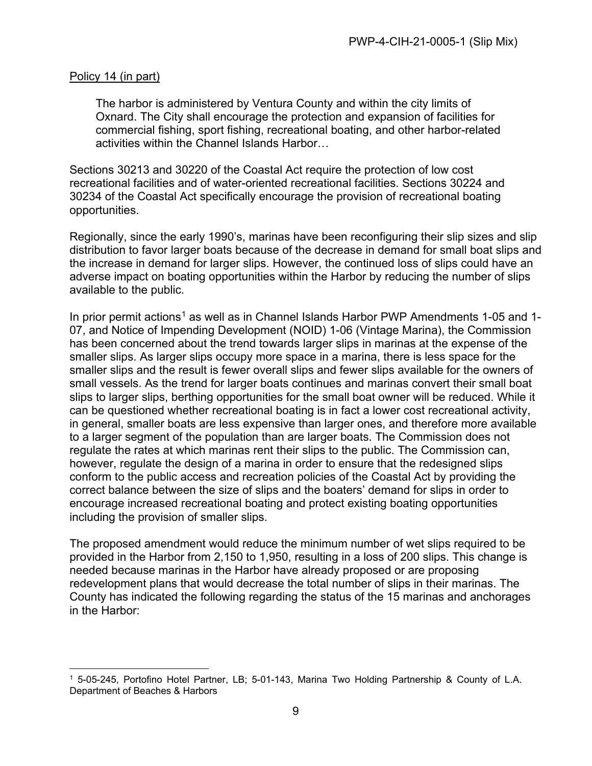#### Policy 14 (in part)

The harbor is administered by Ventura County and within the city limits of Oxnard. The City shall encourage the protection and expansion of facilities for commercial fishing, sport fishing, recreational boating, and other harbor-related activities within the Channel Islands Harbor…

Sections 30213 and 30220 of the Coastal Act require the protection of low cost recreational facilities and of water-oriented recreational facilities. Sections 30224 and 30234 of the Coastal Act specifically encourage the provision of recreational boating opportunities.

Regionally, since the early 1990's, marinas have been reconfiguring their slip sizes and slip distribution to favor larger boats because of the decrease in demand for small boat slips and the increase in demand for larger slips. However, the continued loss of slips could have an adverse impact on boating opportunities within the Harbor by reducing the number of slips available to the public.

In prior permit actions<sup>[1](#page-8-0)</sup> as well as in Channel Islands Harbor PWP Amendments 1-05 and 1-07, and Notice of Impending Development (NOID) 1-06 (Vintage Marina), the Commission has been concerned about the trend towards larger slips in marinas at the expense of the smaller slips. As larger slips occupy more space in a marina, there is less space for the smaller slips and the result is fewer overall slips and fewer slips available for the owners of small vessels. As the trend for larger boats continues and marinas convert their small boat slips to larger slips, berthing opportunities for the small boat owner will be reduced. While it can be questioned whether recreational boating is in fact a lower cost recreational activity, in general, smaller boats are less expensive than larger ones, and therefore more available to a larger segment of the population than are larger boats. The Commission does not regulate the rates at which marinas rent their slips to the public. The Commission can, however, regulate the design of a marina in order to ensure that the redesigned slips conform to the public access and recreation policies of the Coastal Act by providing the correct balance between the size of slips and the boaters' demand for slips in order to encourage increased recreational boating and protect existing boating opportunities including the provision of smaller slips.

The proposed amendment would reduce the minimum number of wet slips required to be provided in the Harbor from 2,150 to 1,950, resulting in a loss of 200 slips. This change is needed because marinas in the Harbor have already proposed or are proposing redevelopment plans that would decrease the total number of slips in their marinas. The County has indicated the following regarding the status of the 15 marinas and anchorages in the Harbor:

<span id="page-8-0"></span><sup>1 5-05-245,</sup> Portofino Hotel Partner, LB; 5-01-143, Marina Two Holding Partnership & County of L.A. Department of Beaches & Harbors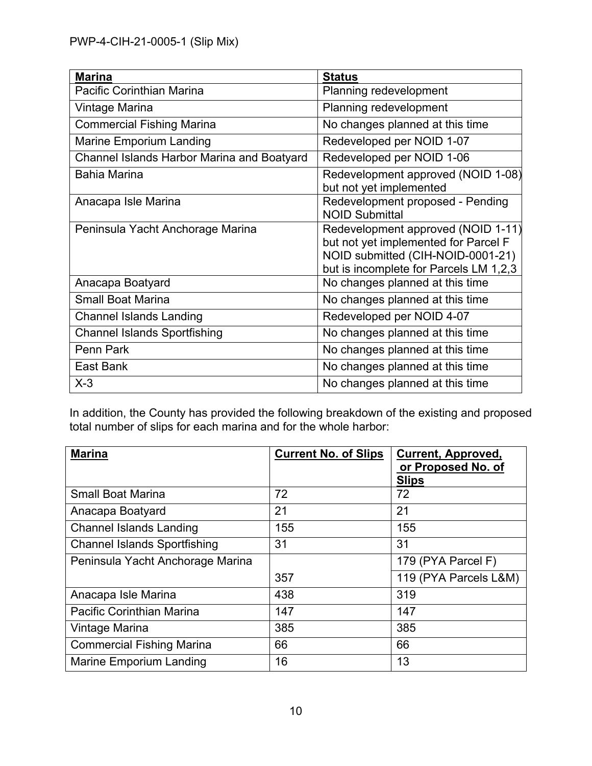| <b>Marina</b>                              | <b>Status</b>                                                                                                                                             |
|--------------------------------------------|-----------------------------------------------------------------------------------------------------------------------------------------------------------|
| Pacific Corinthian Marina                  | Planning redevelopment                                                                                                                                    |
| Vintage Marina                             | Planning redevelopment                                                                                                                                    |
| <b>Commercial Fishing Marina</b>           | No changes planned at this time                                                                                                                           |
| <b>Marine Emporium Landing</b>             | Redeveloped per NOID 1-07                                                                                                                                 |
| Channel Islands Harbor Marina and Boatyard | Redeveloped per NOID 1-06                                                                                                                                 |
| <b>Bahia Marina</b>                        | Redevelopment approved (NOID 1-08)<br>but not yet implemented                                                                                             |
| Anacapa Isle Marina                        | Redevelopment proposed - Pending<br><b>NOID Submittal</b>                                                                                                 |
| Peninsula Yacht Anchorage Marina           | Redevelopment approved (NOID 1-11)<br>but not yet implemented for Parcel F<br>NOID submitted (CIH-NOID-0001-21)<br>but is incomplete for Parcels LM 1,2,3 |
| Anacapa Boatyard                           | No changes planned at this time                                                                                                                           |
| <b>Small Boat Marina</b>                   | No changes planned at this time                                                                                                                           |
| <b>Channel Islands Landing</b>             | Redeveloped per NOID 4-07                                                                                                                                 |
| <b>Channel Islands Sportfishing</b>        | No changes planned at this time                                                                                                                           |
| Penn Park                                  | No changes planned at this time                                                                                                                           |
| East Bank                                  | No changes planned at this time                                                                                                                           |
| $X-3$                                      | No changes planned at this time                                                                                                                           |

In addition, the County has provided the following breakdown of the existing and proposed total number of slips for each marina and for the whole harbor:

| <b>Marina</b>                       | <b>Current No. of Slips</b> | <b>Current, Approved,</b><br>or Proposed No. of<br><b>Slips</b> |
|-------------------------------------|-----------------------------|-----------------------------------------------------------------|
| <b>Small Boat Marina</b>            | 72                          | 72                                                              |
| Anacapa Boatyard                    | 21                          | 21                                                              |
| <b>Channel Islands Landing</b>      | 155                         | 155                                                             |
| <b>Channel Islands Sportfishing</b> | 31                          | 31                                                              |
| Peninsula Yacht Anchorage Marina    |                             | 179 (PYA Parcel F)                                              |
|                                     | 357                         | 119 (PYA Parcels L&M)                                           |
| Anacapa Isle Marina                 | 438                         | 319                                                             |
| Pacific Corinthian Marina           | 147                         | 147                                                             |
| Vintage Marina                      | 385                         | 385                                                             |
| <b>Commercial Fishing Marina</b>    | 66                          | 66                                                              |
| <b>Marine Emporium Landing</b>      | 16                          | 13                                                              |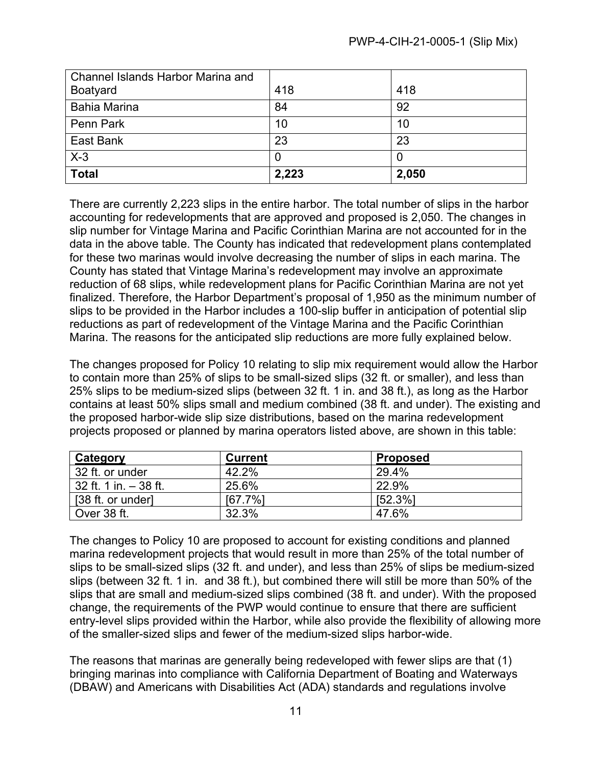| Channel Islands Harbor Marina and |       |       |
|-----------------------------------|-------|-------|
| <b>Boatyard</b>                   | 418   | 418   |
| <b>Bahia Marina</b>               | 84    | 92    |
| Penn Park                         | 10    | 10    |
| East Bank                         | 23    | 23    |
| $X-3$                             |       |       |
| Total                             | 2,223 | 2,050 |

There are currently 2,223 slips in the entire harbor. The total number of slips in the harbor accounting for redevelopments that are approved and proposed is 2,050. The changes in slip number for Vintage Marina and Pacific Corinthian Marina are not accounted for in the data in the above table. The County has indicated that redevelopment plans contemplated for these two marinas would involve decreasing the number of slips in each marina. The County has stated that Vintage Marina's redevelopment may involve an approximate reduction of 68 slips, while redevelopment plans for Pacific Corinthian Marina are not yet finalized. Therefore, the Harbor Department's proposal of 1,950 as the minimum number of slips to be provided in the Harbor includes a 100-slip buffer in anticipation of potential slip reductions as part of redevelopment of the Vintage Marina and the Pacific Corinthian Marina. The reasons for the anticipated slip reductions are more fully explained below.

The changes proposed for Policy 10 relating to slip mix requirement would allow the Harbor to contain more than 25% of slips to be small-sized slips (32 ft. or smaller), and less than 25% slips to be medium-sized slips (between 32 ft. 1 in. and 38 ft.), as long as the Harbor contains at least 50% slips small and medium combined (38 ft. and under). The existing and the proposed harbor-wide slip size distributions, based on the marina redevelopment projects proposed or planned by marina operators listed above, are shown in this table:

| Category              | <b>Current</b> | <b>Proposed</b> |
|-----------------------|----------------|-----------------|
| 32 ft. or under       | 42.2%          | 29.4%           |
| 32 ft. 1 in. - 38 ft. | 25.6%          | 22.9%           |
| [38 ft. or under]     | [67.7%]        | [52.3%]         |
| Over 38 ft.           | 32.3%          | 47.6%           |

The changes to Policy 10 are proposed to account for existing conditions and planned marina redevelopment projects that would result in more than 25% of the total number of slips to be small-sized slips (32 ft. and under), and less than 25% of slips be medium-sized slips (between 32 ft. 1 in. and 38 ft.), but combined there will still be more than 50% of the slips that are small and medium-sized slips combined (38 ft. and under). With the proposed change, the requirements of the PWP would continue to ensure that there are sufficient entry-level slips provided within the Harbor, while also provide the flexibility of allowing more of the smaller-sized slips and fewer of the medium-sized slips harbor-wide.

The reasons that marinas are generally being redeveloped with fewer slips are that (1) bringing marinas into compliance with California Department of Boating and Waterways (DBAW) and Americans with Disabilities Act (ADA) standards and regulations involve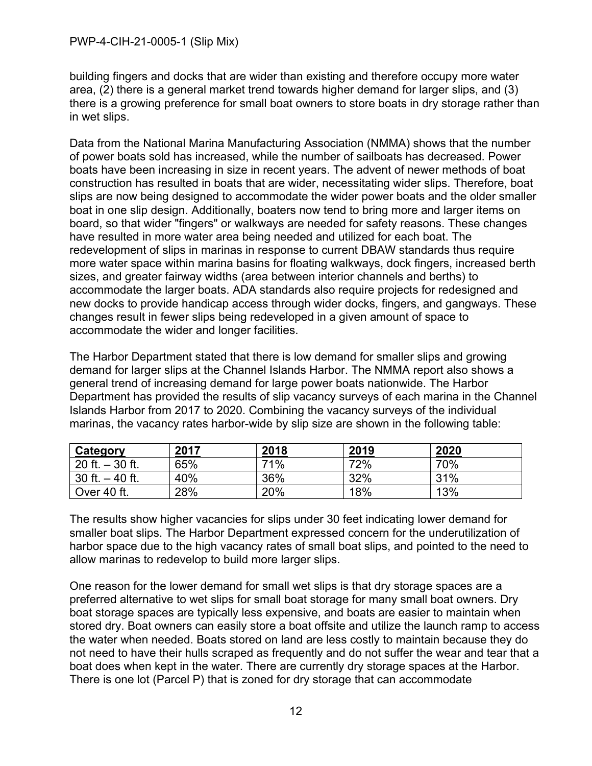building fingers and docks that are wider than existing and therefore occupy more water area, (2) there is a general market trend towards higher demand for larger slips, and (3) there is a growing preference for small boat owners to store boats in dry storage rather than in wet slips.

Data from the National Marina Manufacturing Association (NMMA) shows that the number of power boats sold has increased, while the number of sailboats has decreased. Power boats have been increasing in size in recent years. The advent of newer methods of boat construction has resulted in boats that are wider, necessitating wider slips. Therefore, boat slips are now being designed to accommodate the wider power boats and the older smaller boat in one slip design. Additionally, boaters now tend to bring more and larger items on board, so that wider "fingers" or walkways are needed for safety reasons. These changes have resulted in more water area being needed and utilized for each boat. The redevelopment of slips in marinas in response to current DBAW standards thus require more water space within marina basins for floating walkways, dock fingers, increased berth sizes, and greater fairway widths (area between interior channels and berths) to accommodate the larger boats. ADA standards also require projects for redesigned and new docks to provide handicap access through wider docks, fingers, and gangways. These changes result in fewer slips being redeveloped in a given amount of space to accommodate the wider and longer facilities.

The Harbor Department stated that there is low demand for smaller slips and growing demand for larger slips at the Channel Islands Harbor. The NMMA report also shows a general trend of increasing demand for large power boats nationwide. The Harbor Department has provided the results of slip vacancy surveys of each marina in the Channel Islands Harbor from 2017 to 2020. Combining the vacancy surveys of the individual marinas, the vacancy rates harbor-wide by slip size are shown in the following table:

| Category          | 2017 | 2018 | 2019 | 2020 |
|-------------------|------|------|------|------|
| 20 ft. $-30$ ft.  | 65%  | 71%  | 72%  | 70%  |
| 30 ft. $-$ 40 ft. | 40%  | 36%  | 32%  | 31%  |
| Over 40 ft.       | 28%  | 20%  | 18%  | 13%  |

The results show higher vacancies for slips under 30 feet indicating lower demand for smaller boat slips. The Harbor Department expressed concern for the underutilization of harbor space due to the high vacancy rates of small boat slips, and pointed to the need to allow marinas to redevelop to build more larger slips.

One reason for the lower demand for small wet slips is that dry storage spaces are a preferred alternative to wet slips for small boat storage for many small boat owners. Dry boat storage spaces are typically less expensive, and boats are easier to maintain when stored dry. Boat owners can easily store a boat offsite and utilize the launch ramp to access the water when needed. Boats stored on land are less costly to maintain because they do not need to have their hulls scraped as frequently and do not suffer the wear and tear that a boat does when kept in the water. There are currently dry storage spaces at the Harbor. There is one lot (Parcel P) that is zoned for dry storage that can accommodate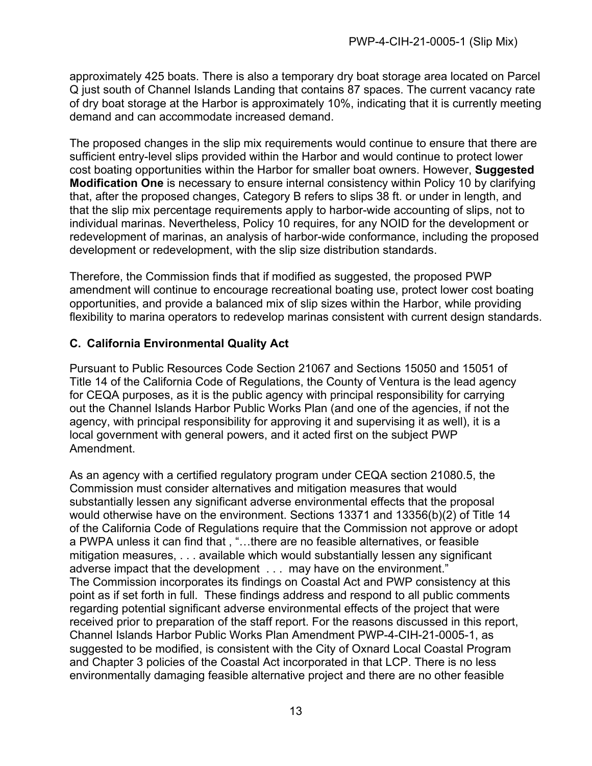approximately 425 boats. There is also a temporary dry boat storage area located on Parcel Q just south of Channel Islands Landing that contains 87 spaces. The current vacancy rate of dry boat storage at the Harbor is approximately 10%, indicating that it is currently meeting demand and can accommodate increased demand.

The proposed changes in the slip mix requirements would continue to ensure that there are sufficient entry-level slips provided within the Harbor and would continue to protect lower cost boating opportunities within the Harbor for smaller boat owners. However, **Suggested Modification One** is necessary to ensure internal consistency within Policy 10 by clarifying that, after the proposed changes, Category B refers to slips 38 ft. or under in length, and that the slip mix percentage requirements apply to harbor-wide accounting of slips, not to individual marinas. Nevertheless, Policy 10 requires, for any NOID for the development or redevelopment of marinas, an analysis of harbor-wide conformance, including the proposed development or redevelopment, with the slip size distribution standards.

Therefore, the Commission finds that if modified as suggested, the proposed PWP amendment will continue to encourage recreational boating use, protect lower cost boating opportunities, and provide a balanced mix of slip sizes within the Harbor, while providing flexibility to marina operators to redevelop marinas consistent with current design standards.

#### <span id="page-12-0"></span>**C. California Environmental Quality Act**

Pursuant to Public Resources Code Section 21067 and Sections 15050 and 15051 of Title 14 of the California Code of Regulations, the County of Ventura is the lead agency for CEQA purposes, as it is the public agency with principal responsibility for carrying out the Channel Islands Harbor Public Works Plan (and one of the agencies, if not the agency, with principal responsibility for approving it and supervising it as well), it is a local government with general powers, and it acted first on the subject PWP Amendment.

As an agency with a certified regulatory program under CEQA section 21080.5, the Commission must consider alternatives and mitigation measures that would substantially lessen any significant adverse environmental effects that the proposal would otherwise have on the environment. Sections 13371 and 13356(b)(2) of Title 14 of the California Code of Regulations require that the Commission not approve or adopt a PWPA unless it can find that , "…there are no feasible alternatives, or feasible mitigation measures, . . . available which would substantially lessen any significant adverse impact that the development . . . may have on the environment." The Commission incorporates its findings on Coastal Act and PWP consistency at this point as if set forth in full. These findings address and respond to all public comments regarding potential significant adverse environmental effects of the project that were received prior to preparation of the staff report. For the reasons discussed in this report, Channel Islands Harbor Public Works Plan Amendment PWP-4-CIH-21-0005-1, as suggested to be modified, is consistent with the City of Oxnard Local Coastal Program and Chapter 3 policies of the Coastal Act incorporated in that LCP. There is no less environmentally damaging feasible alternative project and there are no other feasible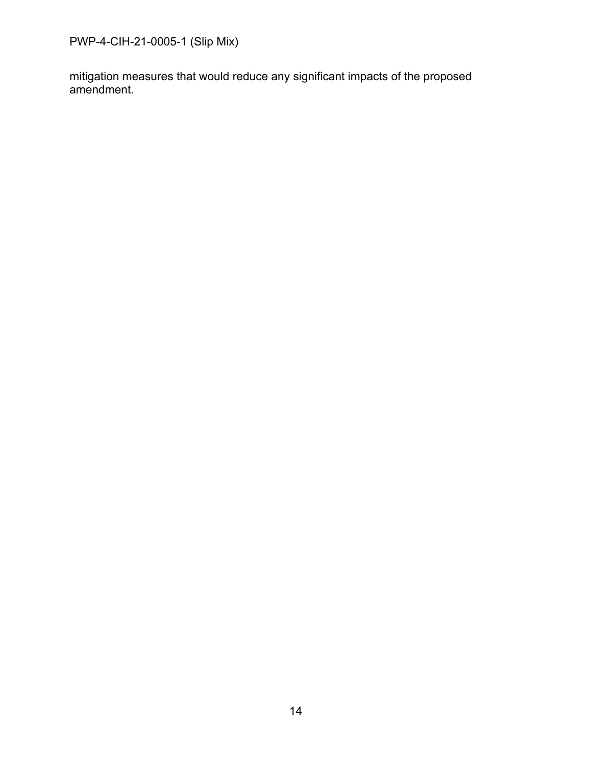PWP-4-CIH-21-0005-1 (Slip Mix)

mitigation measures that would reduce any significant impacts of the proposed amendment.